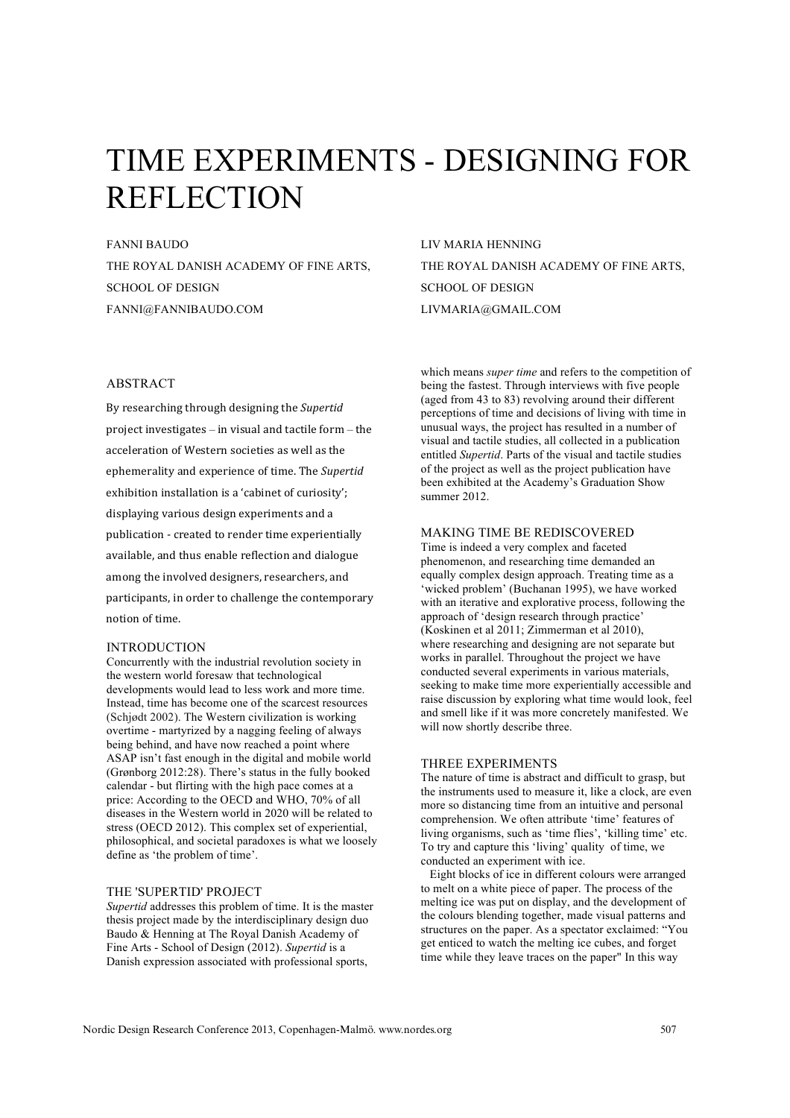# TIME EXPERIMENTS - DESIGNING FOR REFLECTION

FANNI BAUDO THE ROYAL DANISH ACADEMY OF FINE ARTS, SCHOOL OF DESIGN FANNI@FANNIBAUDO.COM

## ABSTRACT

By researching through designing the Supertid project investigates - in visual and tactile form - the acceleration of Western societies as well as the ephemerality and experience of time. The Supertid exhibition installation is a 'cabinet of curiosity'; displaying various design experiments and a publication - created to render time experientially available, and thus enable reflection and dialogue among the involved designers, researchers, and participants, in order to challenge the contemporary notion of time.

### INTRODUCTION

Concurrently with the industrial revolution society in the western world foresaw that technological developments would lead to less work and more time. Instead, time has become one of the scarcest resources (Schjødt 2002). The Western civilization is working overtime - martyrized by a nagging feeling of always being behind, and have now reached a point where ASAP isn't fast enough in the digital and mobile world (Grønborg 2012:28). There's status in the fully booked calendar - but flirting with the high pace comes at a price: According to the OECD and WHO, 70% of all diseases in the Western world in 2020 will be related to stress (OECD 2012). This complex set of experiential, philosophical, and societal paradoxes is what we loosely define as 'the problem of time'.

## THE 'SUPERTID' PROJECT

*Supertid* addresses this problem of time. It is the master thesis project made by the interdisciplinary design duo Baudo & Henning at The Royal Danish Academy of Fine Arts - School of Design (2012). *Supertid* is a Danish expression associated with professional sports,

LIV MARIA HENNING THE ROYAL DANISH ACADEMY OF FINE ARTS, SCHOOL OF DESIGN LIVMARIA@GMAIL.COM

which means *super time* and refers to the competition of being the fastest. Through interviews with five people (aged from 43 to 83) revolving around their different perceptions of time and decisions of living with time in unusual ways, the project has resulted in a number of visual and tactile studies, all collected in a publication entitled *Supertid*. Parts of the visual and tactile studies of the project as well as the project publication have been exhibited at the Academy's Graduation Show summer 2012.

## MAKING TIME BE REDISCOVERED

Time is indeed a very complex and faceted phenomenon, and researching time demanded an equally complex design approach. Treating time as a 'wicked problem' (Buchanan 1995), we have worked with an iterative and explorative process, following the approach of 'design research through practice' (Koskinen et al 2011; Zimmerman et al 2010), where researching and designing are not separate but works in parallel. Throughout the project we have conducted several experiments in various materials, seeking to make time more experientially accessible and raise discussion by exploring what time would look, feel and smell like if it was more concretely manifested. We will now shortly describe three.

## THREE EXPERIMENTS

The nature of time is abstract and difficult to grasp, but the instruments used to measure it, like a clock, are even more so distancing time from an intuitive and personal comprehension. We often attribute 'time' features of living organisms, such as 'time flies', 'killing time' etc. To try and capture this 'living' quality of time, we conducted an experiment with ice.

 Eight blocks of ice in different colours were arranged to melt on a white piece of paper. The process of the melting ice was put on display, and the development of the colours blending together, made visual patterns and structures on the paper. As a spectator exclaimed: "You get enticed to watch the melting ice cubes, and forget time while they leave traces on the paper" In this way